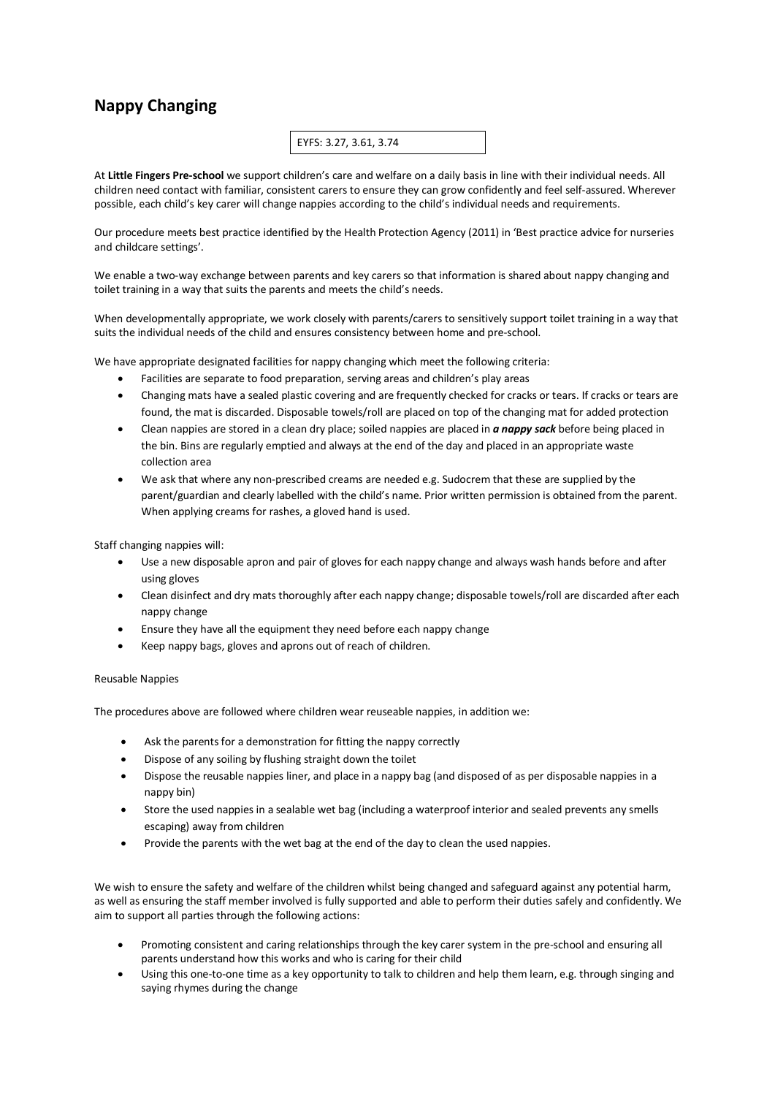## **Nappy Changing**

## EYFS: 3.27, 3.61, 3.74

At **Little Fingers Pre-school** we support children's care and welfare on a daily basis in line with their individual needs. All children need contact with familiar, consistent carers to ensure they can grow confidently and feel self-assured. Wherever possible, each child's key carer will change nappies according to the child's individual needs and requirements.

Our procedure meets best practice identified by the Health Protection Agency (2011) in 'Best practice advice for nurseries and childcare settings'.

We enable a two-way exchange between parents and key carers so that information is shared about nappy changing and toilet training in a way that suits the parents and meets the child's needs.

When developmentally appropriate, we work closely with parents/carers to sensitively support toilet training in a way that suits the individual needs of the child and ensures consistency between home and pre-school.

We have appropriate designated facilities for nappy changing which meet the following criteria:

- Facilities are separate to food preparation, serving areas and children's play areas
- Changing mats have a sealed plastic covering and are frequently checked for cracks or tears. If cracks or tears are found, the mat is discarded. Disposable towels/roll are placed on top of the changing mat for added protection
- Clean nappies are stored in a clean dry place; soiled nappies are placed in *a nappy sack* before being placed in the bin. Bins are regularly emptied and always at the end of the day and placed in an appropriate waste collection area
- We ask that where any non-prescribed creams are needed e.g. Sudocrem that these are supplied by the parent/guardian and clearly labelled with the child's name. Prior written permission is obtained from the parent. When applying creams for rashes, a gloved hand is used.

Staff changing nappies will:

- Use a new disposable apron and pair of gloves for each nappy change and always wash hands before and after using gloves
- Clean disinfect and dry mats thoroughly after each nappy change; disposable towels/roll are discarded after each nappy change
- Ensure they have all the equipment they need before each nappy change
- Keep nappy bags, gloves and aprons out of reach of children.

## Reusable Nappies

The procedures above are followed where children wear reuseable nappies, in addition we:

- Ask the parents for a demonstration for fitting the nappy correctly
- Dispose of any soiling by flushing straight down the toilet
- Dispose the reusable nappies liner, and place in a nappy bag (and disposed of as per disposable nappies in a nappy bin)
- Store the used nappies in a sealable wet bag (including a waterproof interior and sealed prevents any smells escaping) away from children
- Provide the parents with the wet bag at the end of the day to clean the used nappies.

We wish to ensure the safety and welfare of the children whilst being changed and safeguard against any potential harm, as well as ensuring the staff member involved is fully supported and able to perform their duties safely and confidently. We aim to support all parties through the following actions:

- Promoting consistent and caring relationships through the key carer system in the pre-school and ensuring all parents understand how this works and who is caring for their child
- Using this one-to-one time as a key opportunity to talk to children and help them learn, e.g. through singing and saying rhymes during the change